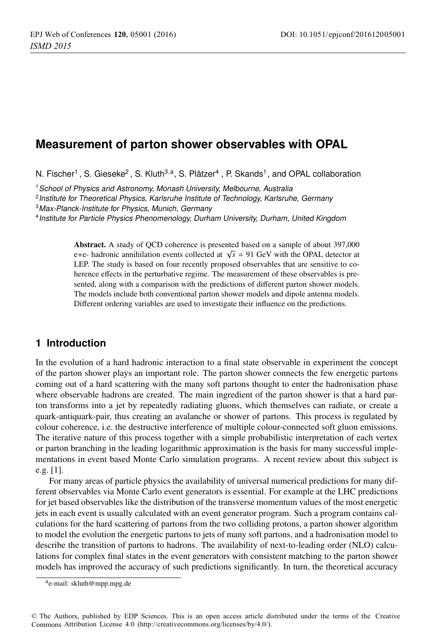# **Measurement of parton shower observables with OPAL**

N. Fischer<sup>1</sup>, S. Gieseke<sup>2</sup>, S. Kluth<sup>3,a</sup>, S. Plätzer<sup>4</sup>, P. Skands<sup>1</sup>, and OPAL collaboration

<sup>1</sup> School of Physics and Astronomy, Monash University, Melbourne, Australia

<sup>2</sup> Institute for Theoretical Physics, Karlsruhe Institute of Technology, Karlsruhe, Germany

<sup>3</sup>Max-Planck-Institute for Physics, Munich, Germany

<sup>4</sup> Institute for Particle Physics Phenomenology, Durham University, Durham, United Kingdom

Abstract. A study of QCD coherence is presented based on a sample of about 397,000 e+e- hadronic annihilation events collected at  $\sqrt{s}$  = 91 GeV with the OPAL detector at LEP. The study is based on four recently proposed observables that are sensitive to coherence effects in the perturbative regime. The measurement of these observables is presented, along with a comparison with the predictions of different parton shower models. The models include both conventional parton shower models and dipole antenna models. Different ordering variables are used to investigate their influence on the predictions.

## **1 Introduction**

In the evolution of a hard hadronic interaction to a final state observable in experiment the concept of the parton shower plays an important role. The parton shower connects the few energetic partons coming out of a hard scattering with the many soft partons thought to enter the hadronisation phase where observable hadrons are created. The main ingredient of the parton shower is that a hard parton transforms into a jet by repeatedly radiating gluons, which themselves can radiate, or create a quark-antiquark-pair, thus creating an avalanche or shower of partons. This process is regulated by colour coherence, i.e. the destructive interference of multiple colour-connected soft gluon emissions. The iterative nature of this process together with a simple probabilistic interpretation of each vertex or parton branching in the leading logarithmic approximation is the basis for many successful implementations in event based Monte Carlo simulation programs. A recent review about this subject is e.g. [1].

For many areas of particle physics the availability of universal numerical predictions for many different observables via Monte Carlo event generators is essential. For example at the LHC predictions for jet based observables like the distribution of the transverse momentum values of the most energetic jets in each event is usually calculated with an event generator program. Such a program contains calculations for the hard scattering of partons from the two colliding protons, a parton shower algorithm to model the evolution the energetic partons to jets of many soft partons, and a hadronisation model to describe the transition of partons to hadrons. The availability of next-to-leading order (NLO) calculations for complex final states in the event generators with consistent matching to the parton shower models has improved the accuracy of such predictions significantly. In turn, the theoretical accuracy

ae-mail: [skluth@mpp.mpg.de](mailto:skluth@mpp.mpg.de)

<sup>©</sup> The Authors, published by EDP Sciences. This is an open access article distributed under the terms of the Creative Commons Attribution License 4.0 ([http://creativecommons.org/licenses/by/4.0/\).](http://creativecommons.org/licenses/by/4.0/)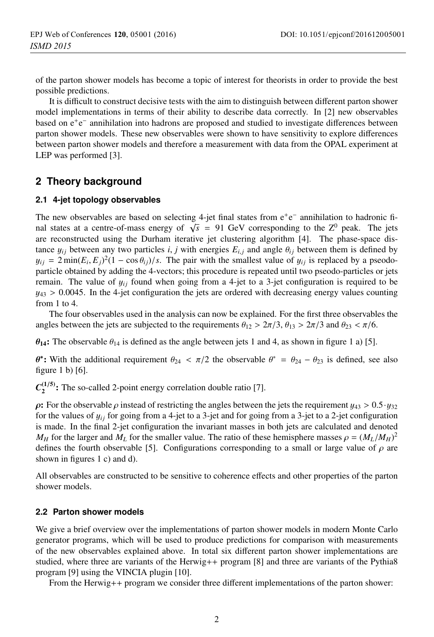of the parton shower models has become a topic of interest for theorists in order to provide the best possible predictions.

It is difficult to construct decisive tests with the aim to distinguish between different parton shower model implementations in terms of their ability to describe data correctly. In [2] new observables based on e<sup>+</sup>e<sup>−</sup> annihilation into hadrons are proposed and studied to investigate differences between parton shower models. These new observables were shown to have sensitivity to explore differences between parton shower models and therefore a measurement with data from the OPAL experiment at LEP was performed [3].

# **2 Theory background**

#### **2.1 4-jet topology observables**

The new observables are based on selecting 4-jet final states from e<sup>+</sup>e<sup>−</sup> annihilation to hadronic final states at a centre-of-mass energy of  $\sqrt{s}$  = 91 GeV corresponding to the Z<sup>0</sup> peak. The jets are reconstructed using the Durham iterative jet clustering algorithm [4]. The phase-space distance  $y_{ij}$  between any two particles *i*, *j* with energies  $E_{i,j}$  and angle  $\theta_{ij}$  between them is defined by  $y_{ij} = 2 \min(E_i, E_j)^2 (1 - \cos \theta_{ij})/s$ . The pair with the smallest value of  $y_{ij}$  is replaced by a pseodo-<br>particle obtained by adding the 4-vectors: this procedure is repeated until two pseodo-particles or jets particle obtained by adding the 4-vectors; this procedure is repeated until two pseodo-particles or jets remain. The value of  $y_{ij}$  found when going from a 4-jet to a 3-jet configuration is required to be  $y_{43} > 0.0045$ . In the 4-jet configuration the jets are ordered with decreasing energy values counting from 1 to 4.

The four observables used in the analysis can now be explained. For the first three observables the angles between the jets are subjected to the requirements  $\theta_{12} > 2\pi/3$ ,  $\theta_{13} > 2\pi/3$  and  $\theta_{23} < \pi/6$ .

 $\theta_{14}$ : The observable  $\theta_{14}$  is defined as the angle between jets 1 and 4, as shown in figure 1 a) [5].

 $θ$ <sup>∗</sup>: With the additional requirement  $θ_{24} < π/2$  the observable  $θ^* = θ_{24} − θ_{23}$  is defined, see also figure 1 b) [6].

 $C_2^{(1/5)}$ : The so-called 2-point energy correlation double ratio [7].

**ρ:** For the observable *ρ* instead of restricting the angles between the jets the requirement  $y_{43} > 0.5 \cdot y_{32}$ for the values of  $y_{ii}$  for going from a 4-jet to a 3-jet and for going from a 3-jet to a 2-jet configuration is made. In the final 2-jet configuration the invariant masses in both jets are calculated and denoted *M<sub>H</sub>* for the larger and *M<sub>L</sub>* for the smaller value. The ratio of these hemisphere masses  $\rho = (M_L/M_H)^2$ <br>defines the fourth observable [5]. Configurations corresponding to a small or large value of a are defines the fourth observable [5]. Configurations corresponding to a small or large value of  $\rho$  are shown in figures 1 c) and d).

All observables are constructed to be sensitive to coherence effects and other properties of the parton shower models.

#### **2.2 Parton shower models**

We give a brief overview over the implementations of parton shower models in modern Monte Carlo generator programs, which will be used to produce predictions for comparison with measurements of the new observables explained above. In total six different parton shower implementations are studied, where three are variants of the Herwig++ program [8] and three are variants of the Pythia8 program [9] using the VINCIA plugin [10].

From the Herwig++ program we consider three different implementations of the parton shower: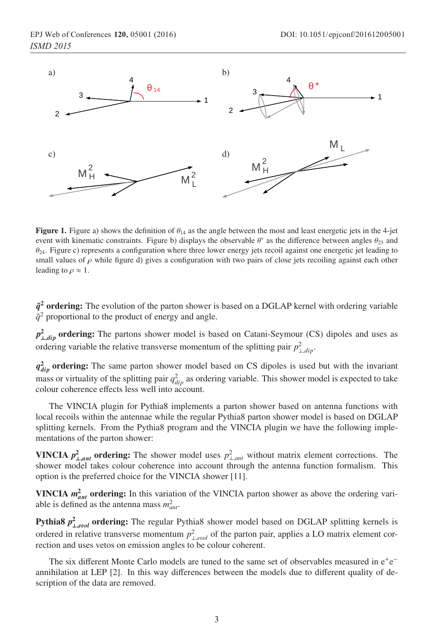

Figure 1. Figure a) shows the definition of  $\theta_{14}$  as the angle between the most and least energetic jets in the 4-jet event with kinematic constraints. Figure b) displays the observable  $\theta^*$  as the difference between angles  $\theta_{23}$  and  $\theta_{24}$ . Figure c) represents a configuration where three lower energy jets recoil against one energetic jet leading to small values of  $\rho$  while figure d) gives a configuration with two pairs of close jets recoiling against each other leading to  $\rho \approx 1$ .

 $\tilde{q}^2$  ordering: The evolution of the parton shower is based on a DGLAP kernel with ordering variable  $\tilde{q}^2$  proportional to the product of energy and angle.

*p*<sup>2</sup><sub>⊥*,dip*</sub> ordering: The partons shower model is based on Catani-Seymour (CS) dipoles and uses as ordering variable the relative transverse momentum of the splitting pair  $p_{\perp, dip}^2$ .

 $q_{div}^2$  ordering: The same parton shower model based on CS dipoles is used but with the invariant mass or virtuality of the splitting pair  $q_{dip}^2$  as ordering variable. This shower model is expected to take colour coherence effects less well into account.

The VINCIA plugin for Pythia8 implements a parton shower based on antenna functions with local recoils within the antennae while the regular Pythia8 parton shower model is based on DGLAP splitting kernels. From the Pythia8 program and the VINCIA plugin we have the following implementations of the parton shower:

**VINCIA**  $p_{\perp,ant}^2$  ordering: The shower model uses  $p_{\perp,ant}^2$  without matrix element corrections. The shower model takes colour coherence into account through the antenna function formalism. This shower model takes colour coherence into account through the antenna function formalism. This option is the preferred choice for the VINCIA shower [11].

**VINCIA**  $m_{ant}^2$  ordering: In this variation of the VINCIA parton shower as above the ordering variable is defined as the antenna mass  $m_{ant}^2$ .

**Pythia8**  $p_{\perp, evol}^2$  ordering: The regular Pythia8 shower model based on DGLAP splitting kernels is ordered in relative transverse momentum  $p_{\perp, evol}^2$  of the parton pair, applies a LO matrix element correction and uses vetos on emission angles to be colour coherent rection and uses vetos on emission angles to be colour coherent.

The six different Monte Carlo models are tuned to the same set of observables measured in e<sup>+</sup>e<sup>−</sup> annihilation at LEP [2]. In this way differences between the models due to different quality of description of the data are removed.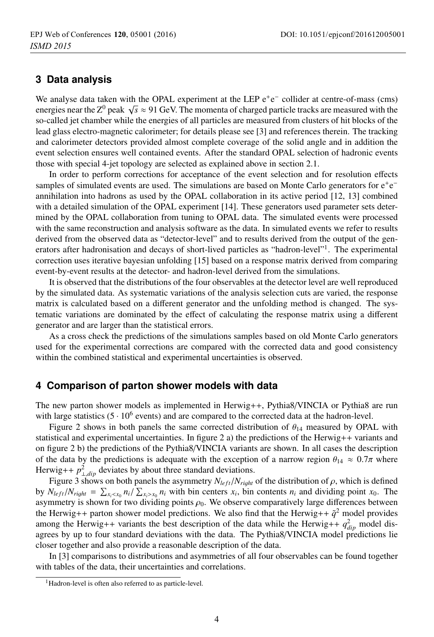### **3 Data analysis**

We analyse data taken with the OPAL experiment at the LEP e<sup>+</sup>e<sup>−</sup> collider at centre-of-mass (cms) energies near the  $Z^0$  peak  $\sqrt{s} \approx 91$  GeV. The momenta of charged particle tracks are measured with the so-called jet chamber while the energies of all particles are measured from clusters of hit blocks of the lead glass electro-magnetic calorimeter; for details please see [3] and references therein. The tracking and calorimeter detectors provided almost complete coverage of the solid angle and in addition the event selection ensures well contained events. After the standard OPAL selection of hadronic events those with special 4-jet topology are selected as explained above in section 2.1.

In order to perform corrections for acceptance of the event selection and for resolution effects samples of simulated events are used. The simulations are based on Monte Carlo generators for e<sup>+</sup>e<sup>−</sup> annihilation into hadrons as used by the OPAL collaboration in its active period [12, 13] combined with a detailed simulation of the OPAL experiment [14]. These generators used parameter sets determined by the OPAL collaboration from tuning to OPAL data. The simulated events were processed with the same reconstruction and analysis software as the data. In simulated events we refer to results derived from the observed data as "detector-level" and to results derived from the output of the generators after hadronisation and decays of short-lived particles as "hadron-level"1. The experimental correction uses iterative bayesian unfolding [15] based on a response matrix derived from comparing event-by-event results at the detector- and hadron-level derived from the simulations.

It is observed that the distributions of the four observables at the detector level are well reproduced by the simulated data. As systematic variations of the analysis selection cuts are varied, the response matrix is calculated based on a different generator and the unfolding method is changed. The systematic variations are dominated by the effect of calculating the response matrix using a different generator and are larger than the statistical errors.

As a cross check the predictions of the simulations samples based on old Monte Carlo generators used for the experimental corrections are compared with the corrected data and good consistency within the combined statistical and experimental uncertainties is observed.

#### **4 Comparison of parton shower models with data**

The new parton shower models as implemented in Herwig++, Pythia8/VINCIA or Pythia8 are run with large statistics  $(5 \cdot 10^6$  events) and are compared to the corrected data at the hadron-level.

Figure 2 shows in both panels the same corrected distribution of  $\theta_{14}$  measured by OPAL with statistical and experimental uncertainties. In figure 2 a) the predictions of the Herwig++ variants and on figure 2 b) the predictions of the Pythia8/VINCIA variants are shown. In all cases the description of the data by the predictions is adequate with the exception of a narrow region  $\theta_{14} \approx 0.7\pi$  where Herwig++  $p_{\perp, dip}^2$  deviates by about three standard deviations.<br>Figure 3 shows on both panels the asymmetry  $N_{\perp} c/N_{\perp}$ 

Figure 3 shows on both panels the asymmetry  $N_{left}/N_{right}$  of the distribution of  $\rho$ , which is defined by  $N_{left}/N_{right} = \sum_{x_i \leq x_0} n_i / \sum_{x_i > x_0} n_i$  with bin centers  $x_i$ , bin contents  $n_i$  and dividing point  $x_0$ . The asymmetry is shown for two dividing points  $\rho_0$ . We observe comparatively large differences between the Herwig++ parton shower model predictions. We also find that the Herwig++  $\tilde{q}^2$  model provides among the Herwig++ variants the best description of the data while the Herwig++  $q_{dip}^2$  model disagrees by up to four standard deviations with the data. The Pythia8/VINCIA model predictions lie closer together and also provide a reasonable description of the data.

In [3] comparisons to distributions and asymmetries of all four observables can be found together with tables of the data, their uncertainties and correlations.

<sup>&</sup>lt;sup>1</sup>Hadron-level is often also referred to as particle-level.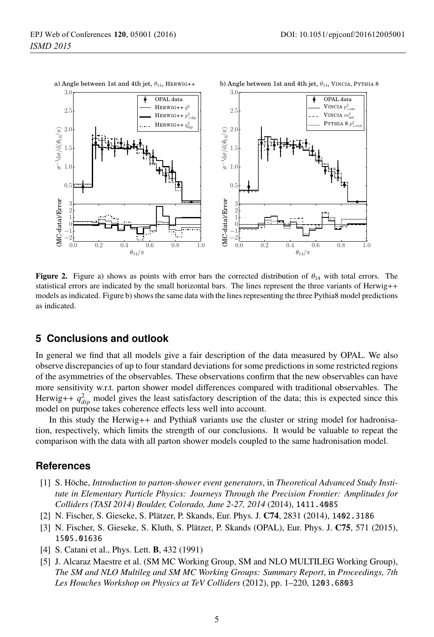

**Figure 2.** Figure a) shows as points with error bars the corrected distribution of  $\theta_{14}$  with total errors. The statistical errors are indicated by the small horizontal bars. The lines represent the three variants of Herwig++ models as indicated. Figure b) shows the same data with the lines representing the three Pythia8 model predictions as indicated.

### **5 Conclusions and outlook**

In general we find that all models give a fair description of the data measured by OPAL. We also observe discrepancies of up to four standard deviations for some predictions in some restricted regions of the asymmetries of the observables. These observations confirm that the new observables can have more sensitivity w.r.t. parton shower model differences compared with traditional observables. The Herwig++  $q_{dip}^2$  model gives the least satisfactory description of the data; this is expected since this model on purpose takes coherence effects less well into account.

In this study the Herwig++ and Pythia8 variants use the cluster or string model for hadronisation, respectively, which limits the strength of our conclusions. It would be valuable to repeat the comparison with the data with all parton shower models coupled to the same hadronisation model.

### **References**

- [1] S. Höche, *Introduction to parton-shower event generators*, in *Theoretical Advanced Study Institute in Elementary Particle Physics: Journeys Through the Precision Frontier: Amplitudes for Colliders (TASI 2014) Boulder, Colorado, June 2-27, 2014* (2014), 1411.4085
- [2] N. Fischer, S. Gieseke, S. Plätzer, P. Skands, Eur. Phys. J. C74, 2831 (2014), 1402.3186
- [3] N. Fischer, S. Gieseke, S. Kluth, S. Plätzer, P. Skands (OPAL), Eur. Phys. J. C75, 571 (2015), 1505.01636
- [4] S. Catani et al., Phys. Lett. B, 432 (1991)
- [5] J. Alcaraz Maestre et al. (SM MC Working Group, SM and NLO MULTILEG Working Group), *The SM and NLO Multileg and SM MC Working Groups: Summary Report*, in *Proceedings, 7th Les Houches Workshop on Physics at TeV Colliders* (2012), pp. 1–220, 1203.6803